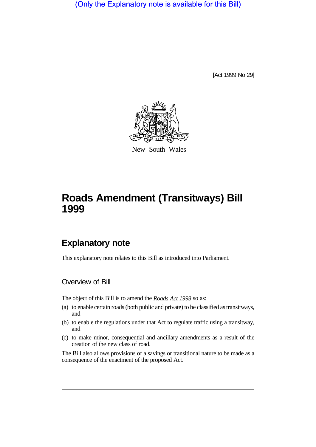(Only the Explanatory note is available for this Bill)

[Act 1999 No 29]



New South Wales

# **Roads Amendment (Transitways) Bill 1999**

## **Explanatory note**

This explanatory note relates to this Bill as introduced into Parliament.

#### Overview of Bill

The object of this Bill is to amend the *Roads Act 1993* so as:

- (a) to enable certain roads (both public and private) to be classified as transitways, and
- (b) to enable the regulations under that Act to regulate traffic using a transitway, and
- (c) to make minor, consequential and ancillary amendments as a result of the creation of the new class of road.

The Bill also allows provisions of a savings or transitional nature to be made as a consequence of the enactment of the proposed Act.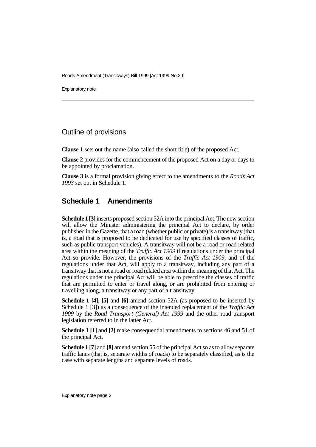Roads Amendment (Transitways) Bill 1999 [Act 1999 No 29]

Explanatory note

#### Outline of provisions

**Clause 1** sets out the name (also called the short title) of the proposed Act.

**Clause 2** provides for the commencement of the proposed Act on a day or days to be appointed by proclamation.

**Clause 3** is a formal provision giving effect to the amendments to the *Roads Act 1993* set out in Schedule 1.

### **Schedule 1 Amendments**

**Schedule 1 [3]** inserts proposed section 52A into the principal Act. The new section will allow the Minister administering the principal Act to declare, by order published in the Gazette, that a road (whether public or private) is a transitway (that is, a road that is proposed to be dedicated for use by specified classes of traffic, such as public transport vehicles). A transitway will not be a road or road related area within the meaning of the *Traffic Act 1909* if regulations under the principal Act so provide. However, the provisions of the *Traffic Act 1909*, and of the regulations under that Act, will apply to a transitway, including any part of a transitway that is not a road or road related area within the meaning of that Act. The regulations under the principal Act will be able to prescribe the classes of traffic that are permitted to enter or travel along, or are prohibited from entering or travelling along, a transitway or any part of a transitway.

**Schedule 1 [4]**, **[5]** and **[6]** amend section 52A (as proposed to be inserted by Schedule 1 [3]) as a consequence of the intended replacement of the *Traffic Act 1909* by the *Road Transport (General) Act 1999* and the other road transport legislation referred to in the latter Act.

**Schedule 1 [1]** and **[2]** make consequential amendments to sections 46 and 51 of the principal Act.

**Schedule 1 [7]** and **[8]** amend section 55 of the principal Act so as to allow separate traffic lanes (that is, separate widths of roads) to be separately classified, as is the case with separate lengths and separate levels of roads.